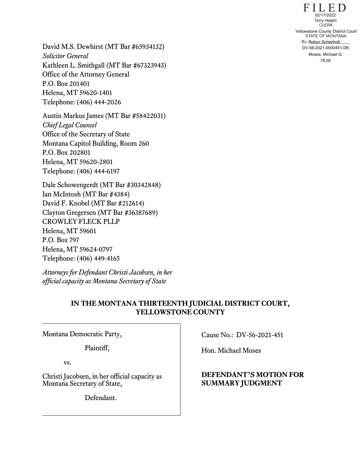$F I L E D$ STATE OF MONTANA By: Robyn Schierholt CLERK 02/17/2022<br> **78.00 Yellowstone County District Court<br>
STATE OF MONTANA<br>
By: Robyn Schierholt**<br>
DV-56-2021-0000451-DK<br>
Moses, Michael G.<br>
78.00

David M.S. Dewhirst (MT Bar #65934132) *Solicitor General*  Kathleen L. Smithgall (MT Bar #67323943) Office of the Attorney General P.O. Box 201401 Helena, MT 59620-1401 Telephone: (406) 444-2026

Austin Markus James (MT Bar #58422031) *Chief Legal Counsel*  Office of the Secretary of State Montana Capitol Building, Room 260 P.O. Box 202801 Helena, MT 59620-2801 Telephone: (406) 444-6197

Dale Schowengerdt (MT Bar #30342848) Ian McIntosh (MT Bar #4384) David F. Knobel (MT Bar #212614) Clayton Gregersen (MT Bar #36387689) CROWLEY FLECK PLLP Helena, MT 59601 P.O. Box 797 Helena, MT 59624-0797 Telephone: (406) 449-4165

*Attorneys for Defendant Christi Jacobsen, in her official capacity as Montana Secretary of State* 

## **IN THE MONTANA THIRTEENTH JUDICIAL DISTRICT COURT, YELLOWSTONE COUNTY**

Montana Democratic Party,

Plaintiff,

vs.

Christi Jacobsen, in her official capacity as Montana Secretary of State,

Defendant.

Cause No.: DV-56-2021-451

Hon. Michael Moses

## **DEFENDANT'S MOTION FOR SUMMARY JUDGMENT**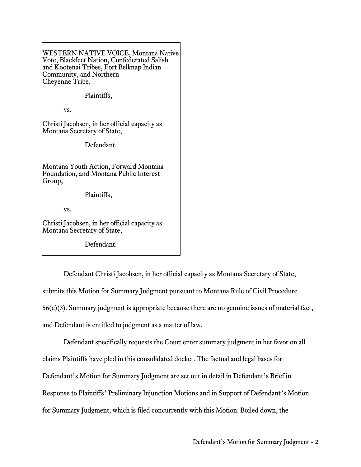WESTERN NATIVE VOICE, Montana Native Vote, Blackfeet Nation, Confederated Salish and Kootenai Tribes, Fort Belknap Indian Community, and Northern Chevenne Tribe,

## Plaintiffs,

vs.

Christi Jacobsen, in her official capacity as Montana Secretary of State,

Defendant.

Montana Youth Action, Forward Montana Foundation, and Montana Public Interest Group,

Plaintiffs,

vs.

Christi Jacobsen, in her official capacity as Montana Secretary of State,

Defendant.

Defendant Christi Jacobsen, in her official capacity as Montana Secretary of State, submits this Motion for Summary Judgment pursuant to Montana Rule of Civil Procedure 56(c)(3). Summary judgment is appropriate because there are no genuine issues of material fact, and Defendant is entitled to judgment as a matter of law.

Defendant specifically requests the Court enter summary judgment in her favor on all claims Plaintiffs have pled in this consolidated docket. The factual and legal bases for Defendant's Motion for Summary Judgment are set out in detail in Defendant's Brief in Response to Plaintiffs' Preliminary Injunction Motions and in Support of Defendant's Motion for Summary Judgment, which is filed concurrently with this Motion. Boiled down, the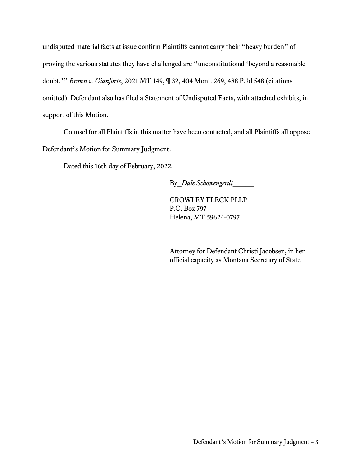undisputed material facts at issue confirm Plaintiffs cannot carry their "heavy burden" of proving the various statutes they have challenged are "unconstitutional 'beyond a reasonable doubt.'" *Brown v. Gianforte*, 2021 MT 149, ¶ 32, 404 Mont. 269, 488 P.3d 548 (citations omitted). Defendant also has filed a Statement of Undisputed Facts, with attached exhibits, in support of this Motion.

Counsel for all Plaintiffs in this matter have been contacted, and all Plaintiffs all oppose Defendant's Motion for Summary Judgment.

Dated this 16th day of February, 2022.

By\_*Dale Schowengerdt*\_\_\_\_\_

CROWLEY FLECK PLLP P.O. Box 797 Helena, MT 59624-0797

Attorney for Defendant Christi Jacobsen, in her official capacity as Montana Secretary of State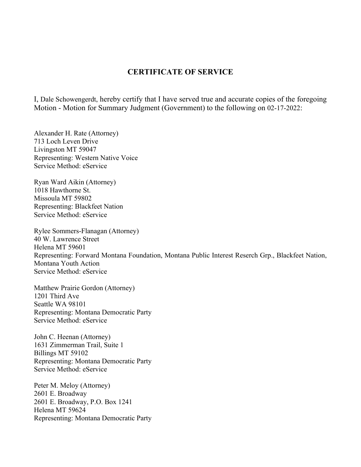## **CERTIFICATE OF SERVICE**

I, Dale Schowengerdt, hereby certify that I have served true and accurate copies of the foregoing Motion - Motion for Summary Judgment (Government) to the following on 02-17-2022:

Alexander H. Rate (Attorney) 713 Loch Leven Drive Livingston MT 59047 Representing: Western Native Voice Service Method: eService

Ryan Ward Aikin (Attorney) 1018 Hawthorne St. Missoula MT 59802 Representing: Blackfeet Nation Service Method: eService

Rylee Sommers-Flanagan (Attorney) 40 W. Lawrence Street Helena MT 59601 Representing: Forward Montana Foundation, Montana Public Interest Reserch Grp., Blackfeet Nation, Montana Youth Action Service Method: eService

Matthew Prairie Gordon (Attorney) 1201 Third Ave Seattle WA 98101 Representing: Montana Democratic Party Service Method: eService

John C. Heenan (Attorney) 1631 Zimmerman Trail, Suite 1 Billings MT 59102 Representing: Montana Democratic Party Service Method: eService

Peter M. Meloy (Attorney) 2601 E. Broadway 2601 E. Broadway, P.O. Box 1241 Helena MT 59624 Representing: Montana Democratic Party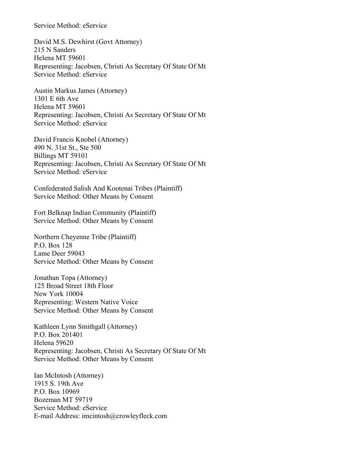Service Method: eService

David M.S. Dewhirst (Govt Attorney) 215 N Sanders Helena MT 59601 Representing: Jacobsen, Christi As Secretary Of State Of Mt Service Method: eService

Austin Markus James (Attorney) 1301 E 6th Ave Helena MT 59601 Representing: Jacobsen, Christi As Secretary Of State Of Mt Service Method: eService

David Francis Knobel (Attorney) 490 N. 31st St., Ste 500 Billings MT 59101 Representing: Jacobsen, Christi As Secretary Of State Of Mt Service Method: eService

Confederated Salish And Kootenai Tribes (Plaintiff) Service Method: Other Means by Consent

Fort Belknap Indian Community (Plaintiff) Service Method: Other Means by Consent

Northern Cheyenne Tribe (Plaintiff) P.O. Box 128 Lame Deer 59043 Service Method: Other Means by Consent

Jonathan Topa (Attorney) 125 Broad Street 18th Floor New York 10004 Representing: Western Native Voice Service Method: Other Means by Consent

Kathleen Lynn Smithgall (Attorney) P.O. Box 201401 Helena 59620 Representing: Jacobsen, Christi As Secretary Of State Of Mt Service Method: Other Means by Consent

Ian McIntosh (Attorney) 1915 S. 19th Ave P.O. Box 10969 Bozeman MT 59719 Service Method: eService E-mail Address: imcintosh@crowleyfleck.com